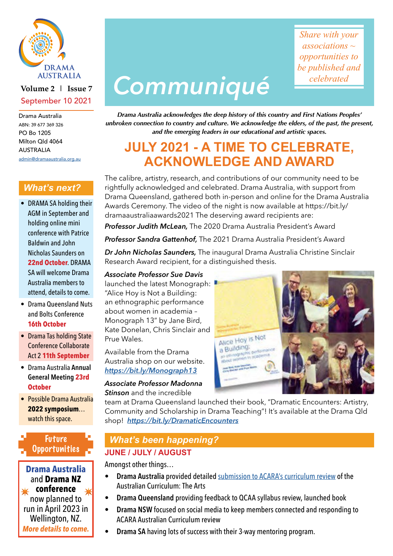

### **Volume 2 | Issue 7** September 10 2021

Drama Australia ABN: 39 677 369 326 PO Bo 1205 Milton Qld 4064 AUSTRALIA [admin@dramaaustralia.org.au](mailto:admin%40dramaaustralia.org.au?subject=)

*What's next?*

- DRAMA SA holding their AGM in September and holding online mini conference with Patrice Baldwin and John Nicholas Saunders on **22nd October**. DRAMA SA will welcome Drama Australia members to attend, details to come.
- Drama Queensland Nuts and Bolts Conference **16th October**
- Drama Tas holding State Conference Collaborate Act 2 **11th September**
- Drama Australia **Annual General Meeting 23rd October**
- Possible Drama Australia **2022 symposium**… watch this space.

### Future **Opportunities**

✴ ✴ **conference Drama Australia** and **Drama NZ** now planned to run in April 2023 in Wellington, NZ. *More details to come.*

# *Communiqué*

*Share with your associations ~ opportunities to be published and celebrated*

*Drama Australia acknowledges the deep history of this country and First Nations Peoples' unbroken connection to country and culture. We acknowledge the elders, of the past, the present, and the emerging leaders in our educational and artistic spaces.*

## **JULY 2021 - A TIME TO CELEBRATE, ACKNOWLEDGE AND AWARD**

The calibre, artistry, research, and contributions of our community need to be rightfully acknowledged and celebrated. Drama Australia, with support from Drama Queensland, gathered both in-person and online for the Drama Australia Awards Ceremony. The video of the night is now available at https://bit.ly/ dramaaustraliaawards2021 The deserving award recipients are:

*Professor Judith McLean,* The 2020 Drama Australia President's Award

*Professor Sandra Gattenhof,* The 2021 Drama Australia President's Award

*Dr John Nicholas Saunders,* The inaugural Drama Australia Christine Sinclair Research Award recipient, for a distinguished thesis.

### *Associate Professor Sue Davis*

launched the latest Monograph: "Alice Hoy is Not a Building: an ethnographic performance about women in academia – Monograph 13" by Jane Bird, Kate Donelan, Chris Sinclair and Prue Wales.

Available from the Drama Australia shop on our website. *[https://bit.ly/Monograph13](https://bit.ly/Monograph13 )*

### *Associate Professor Madonna*

*Stinson* and the incredible

team at Drama Queensland launched their book, "Dramatic Encounters: Artistry, Community and Scholarship in Drama Teaching"! It's available at the Drama Qld shop! *<https://bit.ly/DramaticEncounters>*

### *What's been happening?* **JUNE / JULY / AUGUST**

Amongst other things…

- **Drama Australia** provided detailed [submission to ACARA's curriculum review](https://dramaaustralia.org.au/advocacy/) of the Australian Curriculum: The Arts
- **Drama Queensland** providing feedback to QCAA syllabus review, launched book
- **Drama NSW** focused on social media to keep members connected and responding to ACARA Australian Curriculum review
- **Drama SA** having lots of success with their 3-way mentoring program.